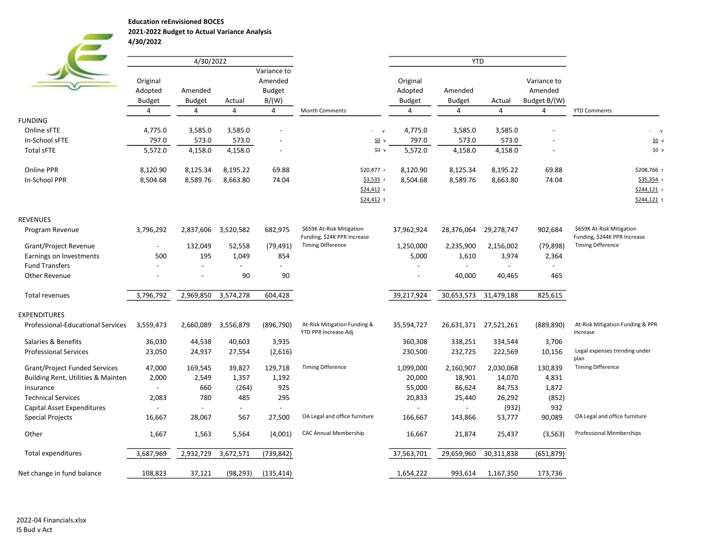Education reEnvisioned BOCES

2021-2022 Budget to Actual Variance Analysis

| 4/30/2022 |  |  |  |
|-----------|--|--|--|
|           |  |  |  |

|                                      |                                | 4/30/2022        |                  |                                         |                                                      |                     | <b>YTD</b>                      |                       |                        |                                              |
|--------------------------------------|--------------------------------|------------------|------------------|-----------------------------------------|------------------------------------------------------|---------------------|---------------------------------|-----------------------|------------------------|----------------------------------------------|
|                                      | Original<br>Adopted<br>Amended |                  |                  | Variance to<br>Amended<br><b>Budget</b> |                                                      | Original<br>Adopted | Amended                         |                       | Variance to<br>Amended |                                              |
|                                      | <b>Budget</b><br>4             | <b>Budget</b>    | Actual<br>4      | B/(W)                                   |                                                      | Budget<br>4         | <b>Budget</b><br>$\overline{4}$ | Actual                | Budget B/(W)           |                                              |
|                                      |                                | 4                |                  | 4                                       | <b>Month Comments</b>                                |                     |                                 | 4                     | 4                      | <b>YTD Comments</b>                          |
| <b>FUNDING</b>                       |                                |                  |                  |                                         |                                                      |                     |                                 |                       |                        |                                              |
| Online sFTE<br>In-School sFTE        | 4,775.0<br>797.0               | 3,585.0<br>573.0 | 3,585.0<br>573.0 |                                         | $-$ v<br>50v                                         | 4,775.0<br>797.0    | 3,585.0<br>573.0                | 3,585.0<br>573.0      |                        | $-$ v                                        |
| <b>Total sFTE</b>                    | 5,572.0                        |                  | 4,158.0          |                                         | \$0 v                                                |                     | 4,158.0                         |                       |                        | 50v<br>\$0 v                                 |
|                                      |                                | 4,158.0          |                  |                                         |                                                      | 5,572.0             |                                 | 4,158.0               |                        |                                              |
| Online PPR                           | 8,120.90                       | 8,125.34         | 8,195.22         | 69.88                                   | \$20,877 r                                           | 8,120.90            | 8,125.34                        | 8,195.22              | 69.88                  | \$208,766 r                                  |
| In-School PPR                        | 8,504.68                       | 8,589.76         | 8,663.80         | 74.04                                   | \$3,535 r                                            | 8,504.68            | 8,589.76                        | 8,663.80              | 74.04                  | \$35,354 r                                   |
|                                      |                                |                  |                  |                                         | \$24,412 r                                           |                     |                                 |                       |                        | \$244,121 r                                  |
|                                      |                                |                  |                  |                                         | \$24,412 t                                           |                     |                                 |                       |                        | \$244,121 t                                  |
| <b>REVENUES</b>                      |                                |                  |                  |                                         |                                                      |                     |                                 |                       |                        |                                              |
| Program Revenue                      | 3,796,292                      | 2,837,606        | 3,520,582        | 682,975                                 | \$659K At-Risk Mitigation                            | 37,962,924          | 28,376,064                      | 29,278,747            | 902,684                | \$659K At-Risk Mitigation                    |
|                                      |                                |                  |                  |                                         | Funding, \$24K PPR Increase                          |                     |                                 |                       |                        | Funding, \$244K PPR Increase                 |
| Grant/Project Revenue                | $\overline{\phantom{a}}$       | 132,049          | 52,558           | (79, 491)                               | <b>Timing Difference</b>                             | 1,250,000           | 2,235,900                       | 2,156,002             | (79, 898)              | <b>Timing Difference</b>                     |
| Earnings on Investments              | 500                            | 195              | 1,049            | 854                                     |                                                      | 5,000               | 1,610                           | 3,974                 | 2,364                  |                                              |
| <b>Fund Transfers</b>                |                                |                  |                  |                                         |                                                      |                     |                                 |                       |                        |                                              |
| Other Revenue                        |                                |                  | 90               | 90                                      |                                                      |                     | 40,000                          | 40,465                | 465                    |                                              |
| Total revenues                       | 3,796,792                      | 2,969,850        | 3,574,278        | 604,428                                 |                                                      | 39,217,924          | 30,653,573                      | 31,479,188            | 825,615                |                                              |
| <b>EXPENDITURES</b>                  |                                |                  |                  |                                         |                                                      |                     |                                 |                       |                        |                                              |
| Professional-Educational Services    | 3,559,473                      | 2,660,089        | 3,556,879        | (896, 790)                              | At-Risk Mitigation Funding &<br>YTD PPR Increase Adj | 35,594,727          |                                 | 26,631,371 27,521,261 | (889, 890)             | At-Risk Mitigation Funding & PPR<br>Increase |
| Salaries & Benefits                  | 36,030                         | 44,538           | 40,603           | 3,935                                   |                                                      | 360,308             | 338,251                         | 334,544               | 3,706                  |                                              |
| <b>Professional Services</b>         | 23,050                         | 24,937           | 27,554           | (2,616)                                 |                                                      | 230,500             | 232,725                         | 222,569               | 10,156                 | Legal expenses trending under                |
|                                      |                                |                  |                  |                                         |                                                      |                     |                                 |                       |                        | plan                                         |
| <b>Grant/Project Funded Services</b> | 47,000                         | 169,545          | 39,827           | 129,718                                 | <b>Timing Difference</b>                             | 1,099,000           | 2,160,907                       | 2,030,068             | 130,839                | <b>Timing Difference</b>                     |
| Building Rent, Utilities & Mainten   | 2,000                          | 2,549            | 1,357            | 1,192                                   |                                                      | 20,000              | 18,901                          | 14,070                | 4,831                  |                                              |
| Insurance                            | $\overline{a}$                 | 660              | (264)            | 925                                     |                                                      | 55,000              | 86,624                          | 84,753                | 1,872                  |                                              |
| <b>Technical Services</b>            | 2,083                          | 780              | 485              | 295                                     |                                                      | 20,833              | 25,440                          | 26,292                | (852)                  |                                              |
| Capital Asset Expenditures           | $\overline{a}$                 |                  | $\sim$           |                                         |                                                      |                     |                                 | (932)                 | 932                    |                                              |
| <b>Special Projects</b>              | 16,667                         | 28,067           | 567              | 27,500                                  | OA Legal and office furniture                        | 166,667             | 143,866                         | 53,777                | 90,089                 | OA Legal and office furniture                |
| Other                                | 1,667                          | 1,563            | 5,564            | (4,001)                                 | CAC Annual Membership                                | 16,667              | 21,874                          | 25,437                | (3, 563)               | Professional Memberships                     |
| <b>Total expenditures</b>            | 3,687,969                      | 2,932,729        | 3,672,571        | (739, 842)                              |                                                      | 37,563,701          | 29,659,960                      | 30,311,838            | (651, 879)             |                                              |
| Net change in fund balance           | 108,823                        | 37,121           | (98, 293)        | (135, 414)                              |                                                      | 1,654,222           | 993,614                         | 1,167,350             | 173,736                |                                              |
|                                      |                                |                  |                  |                                         |                                                      |                     |                                 |                       |                        |                                              |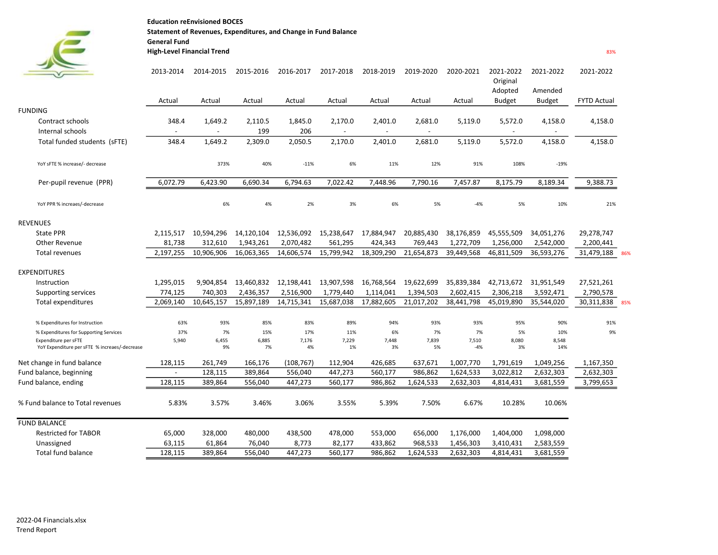Education reEnvisioned BOCES Statement of Revenues, Expenditures, and Change in Fund Balance General Fund

## High-Level Financial Trend

**Contract** 

 $\epsilon$ 

|  | I |  |
|--|---|--|
|  |   |  |

|                                                                       | 2013-2014                | 2014-2015                | 2015-2016   | 2016-2017   | 2017-2018                | 2018-2019                | 2019-2020                | 2020-2021      | 2021-2022<br>Original<br>Adopted | 2021-2022<br>Amended     | 2021-2022          |     |
|-----------------------------------------------------------------------|--------------------------|--------------------------|-------------|-------------|--------------------------|--------------------------|--------------------------|----------------|----------------------------------|--------------------------|--------------------|-----|
|                                                                       | Actual                   | Actual                   | Actual      | Actual      | Actual                   | Actual                   | Actual                   | Actual         | <b>Budget</b>                    | Budget                   | <b>FYTD Actual</b> |     |
| <b>FUNDING</b>                                                        |                          |                          |             |             |                          |                          |                          |                |                                  |                          |                    |     |
| Contract schools                                                      | 348.4                    | 1,649.2                  | 2,110.5     | 1,845.0     | 2,170.0                  | 2,401.0                  | 2,681.0                  | 5,119.0        | 5,572.0                          | 4,158.0                  | 4,158.0            |     |
| Internal schools                                                      | $\overline{\phantom{a}}$ | $\overline{\phantom{a}}$ | 199         | 206         | $\overline{\phantom{a}}$ | $\overline{\phantom{a}}$ | $\overline{\phantom{a}}$ |                | $\overline{\phantom{a}}$         | $\overline{\phantom{a}}$ |                    |     |
| Total funded students (SFTE)                                          | 348.4                    | 1,649.2                  | 2,309.0     | 2,050.5     | 2,170.0                  | 2,401.0                  | 2,681.0                  | 5,119.0        | 5,572.0                          | 4,158.0                  | 4,158.0            |     |
| YoY sFTE % increase/- decrease                                        |                          | 373%                     | 40%         | $-11%$      | 6%                       | 11%                      | 12%                      | 91%            | 108%                             | $-19%$                   |                    |     |
| Per-pupil revenue (PPR)                                               | 6,072.79                 | 6,423.90                 | 6,690.34    | 6,794.63    | 7,022.42                 | 7,448.96                 | 7,790.16                 | 7,457.87       | 8,175.79                         | 8,189.34                 | 9,388.73           |     |
| YoY PPR % increaes/-decrease                                          |                          | 6%                       | 4%          | 2%          | 3%                       | 6%                       | 5%                       | $-4%$          | 5%                               | 10%                      | 21%                |     |
| <b>REVENUES</b>                                                       |                          |                          |             |             |                          |                          |                          |                |                                  |                          |                    |     |
| <b>State PPR</b>                                                      | 2,115,517                | 10,594,296               | 14,120,104  | 12,536,092  | 15,238,647               | 17,884,947               | 20,885,430               | 38,176,859     | 45,555,509                       | 34,051,276               | 29,278,747         |     |
| Other Revenue                                                         | 81,738                   | 312,610                  | 1,943,261   | 2,070,482   | 561,295                  | 424,343                  | 769,443                  | 1,272,709      | 1,256,000                        | 2,542,000                | 2,200,441          |     |
| <b>Total revenues</b>                                                 | 2,197,255                | 10,906,906               | 16,063,365  | 14,606,574  | 15,799,942               | 18,309,290               | 21,654,873               | 39,449,568     | 46,811,509                       | 36,593,276               | 31,479,188         | 86% |
| <b>EXPENDITURES</b>                                                   |                          |                          |             |             |                          |                          |                          |                |                                  |                          |                    |     |
| Instruction                                                           | 1,295,015                | 9,904,854                | 13,460,832  | 12,198,441  | 13,907,598               | 16,768,564               | 19,622,699               | 35,839,384     | 42,713,672                       | 31,951,549               | 27,521,261         |     |
| Supporting services                                                   | 774,125                  | 740.303                  | 2,436,357   | 2,516,900   | 1,779,440                | 1,114,041                | 1,394,503                | 2,602,415      | 2,306,218                        | 3,592,471                | 2,790,578          |     |
| <b>Total expenditures</b>                                             | 2,069,140                | 10,645,157               | 15,897,189  | 14,715,341  | 15,687,038               | 17,882,605               | 21,017,202               | 38,441,798     | 45,019,890                       | 35,544,020               | 30,311,838         | 85% |
| % Expenditures for Instruction                                        | 63%                      | 93%                      | 85%         | 83%         | 89%                      | 94%                      | 93%                      | 93%            | 95%                              | 90%                      | 91%                |     |
| % Expenditures for Supporting Services                                | 37%                      | 7%                       | 15%         | 17%         | 11%                      | 6%                       | 7%                       | 7%             | 5%                               | 10%                      | 9%                 |     |
| Expenditure per sFTE<br>YoY Expenditure per sFTE % increaes/-decrease | 5,940                    | 6,455<br>9%              | 6,885<br>7% | 7,176<br>4% | 7,229<br>1%              | 7,448<br>3%              | 7,839<br>5%              | 7,510<br>$-4%$ | 8,080<br>3%                      | 8,548<br>14%             |                    |     |
| Net change in fund balance                                            | 128,115                  | 261,749                  | 166,176     | (108,767)   | 112,904                  | 426,685                  | 637,671                  | 1,007,770      | 1,791,619                        | 1,049,256                | 1,167,350          |     |
| Fund balance, beginning                                               |                          | 128,115                  | 389,864     | 556,040     | 447,273                  | 560,177                  | 986,862                  | 1,624,533      | 3,022,812                        | 2,632,303                | 2,632,303          |     |
| Fund balance, ending                                                  | 128,115                  | 389,864                  | 556,040     | 447,273     | 560,177                  | 986,862                  | 1,624,533                | 2,632,303      | 4,814,431                        | 3,681,559                | 3,799,653          |     |
| % Fund balance to Total revenues                                      | 5.83%                    | 3.57%                    | 3.46%       | 3.06%       | 3.55%                    | 5.39%                    | 7.50%                    | 6.67%          | 10.28%                           | 10.06%                   |                    |     |
| <b>FUND BALANCE</b>                                                   |                          |                          |             |             |                          |                          |                          |                |                                  |                          |                    |     |
| <b>Restricted for TABOR</b>                                           | 65,000                   | 328,000                  | 480,000     | 438,500     | 478,000                  | 553,000                  | 656,000                  | 1,176,000      | 1,404,000                        | 1,098,000                |                    |     |
| Unassigned                                                            | 63,115                   | 61,864                   | 76,040      | 8,773       | 82,177                   | 433,862                  | 968,533                  | 1,456,303      | 3,410,431                        | 2,583,559                |                    |     |
| <b>Total fund balance</b>                                             | 128,115                  | 389,864                  | 556,040     | 447,273     | 560,177                  | 986,862                  | 1,624,533                | 2,632,303      | 4,814,431                        | 3,681,559                |                    |     |